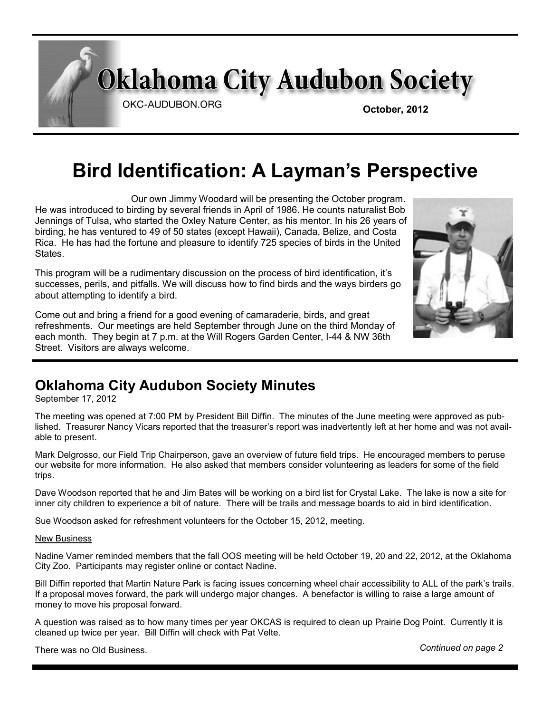**Oklahoma City Audubon Society** 

OKC-AUDUBON.ORG

**October, 2012**

# **Bird Identification: A Layman's Perspective**

 Our own Jimmy Woodard will be presenting the October program. He was introduced to birding by several friends in April of 1986. He counts naturalist Bob Jennings of Tulsa, who started the Oxley Nature Center, as his mentor. In his 26 years of birding, he has ventured to 49 of 50 states (except Hawaii), Canada, Belize, and Costa Rica. He has had the fortune and pleasure to identify 725 species of birds in the United States.

This program will be a rudimentary discussion on the process of bird identification, it's successes, perils, and pitfalls. We will discuss how to find birds and the ways birders go about attempting to identify a bird.

Come out and bring a friend for a good evening of camaraderie, birds, and great refreshments. Our meetings are held September through June on the third Monday of each month. They begin at 7 p.m. at the Will Rogers Garden Center, I-44 & NW 36th Street. Visitors are always welcome.



### **Oklahoma City Audubon Society Minutes**

September 17, 2012

The meeting was opened at 7:00 PM by President Bill Diffin. The minutes of the June meeting were approved as published. Treasurer Nancy Vicars reported that the treasurer's report was inadvertently left at her home and was not available to present.

Mark Delgrosso, our Field Trip Chairperson, gave an overview of future field trips. He encouraged members to peruse our website for more information. He also asked that members consider volunteering as leaders for some of the field trips.

Dave Woodson reported that he and Jim Bates will be working on a bird list for Crystal Lake. The lake is now a site for inner city children to experience a bit of nature. There will be trails and message boards to aid in bird identification.

Sue Woodson asked for refreshment volunteers for the October 15, 2012, meeting.

#### New Business

Nadine Varner reminded members that the fall OOS meeting will be held October 19, 20 and 22, 2012, at the Oklahoma City Zoo. Participants may register online or contact Nadine.

Bill Diffin reported that Martin Nature Park is facing issues concerning wheel chair accessibility to ALL of the park's trails. If a proposal moves forward, the park will undergo major changes. A benefactor is willing to raise a large amount of money to move his proposal forward.

A question was raised as to how many times per year OKCAS is required to clean up Prairie Dog Point. Currently it is cleaned up twice per year. Bill Diffin will check with Pat Velte.

There was no Old Business. *Continued on page 2*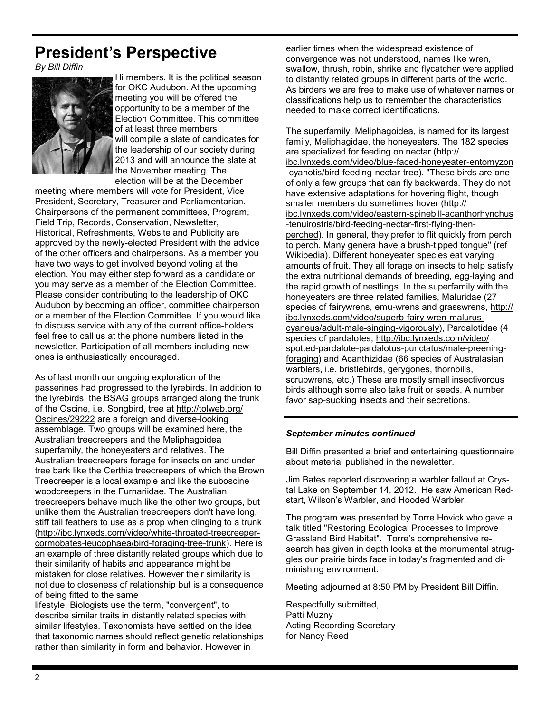# **President's Perspective**

*By Bill Diffin*



Hi members. It is the political season for OKC Audubon. At the upcoming meeting you will be offered the opportunity to be a member of the Election Committee. This committee of at least three members will compile a slate of candidates for the leadership of our society during 2013 and will announce the slate at the November meeting. The election will be at the December

meeting where members will vote for President, Vice President, Secretary, Treasurer and Parliamentarian. Chairpersons of the permanent committees, Program, Field Trip, Records, Conservation, Newsletter, Historical, Refreshments, Website and Publicity are approved by the newly-elected President with the advice of the other officers and chairpersons. As a member you have two ways to get involved beyond voting at the election. You may either step forward as a candidate or you may serve as a member of the Election Committee. Please consider contributing to the leadership of OKC Audubon by becoming an officer, committee chairperson or a member of the Election Committee. If you would like to discuss service with any of the current office-holders feel free to call us at the phone numbers listed in the newsletter. Participation of all members including new ones is enthusiastically encouraged.

As of last month our ongoing exploration of the passerines had progressed to the lyrebirds. In addition to the lyrebirds, the BSAG groups arranged along the trunk of the Oscine, i.e. Songbird, tree at [http://tolweb.org/](http://tolweb.org/Oscines/29222) [Oscines/29222](http://tolweb.org/Oscines/29222) are a foreign and diverse-looking assemblage. Two groups will be examined here, the Australian treecreepers and the Meliphagoidea superfamily, the honeyeaters and relatives. The Australian treecreepers forage for insects on and under tree bark like the Certhia treecreepers of which the Brown Treecreeper is a local example and like the suboscine woodcreepers in the Furnariidae. The Australian treecreepers behave much like the other two groups, but unlike them the Australian treecreepers don't have long, stiff tail feathers to use as a prop when clinging to a trunk [\(http://ibc.lynxeds.com/video/white-throated-treecreeper](http://ibc.lynxeds.com/video/white-throated-treecreeper-cormobates-leucophaea/bird-foraging-tree-trunk)[cormobates-leucophaea/bird-foraging-tree-trunk\).](http://ibc.lynxeds.com/video/white-throated-treecreeper-cormobates-leucophaea/bird-foraging-tree-trunk) Here is an example of three distantly related groups which due to their similarity of habits and appearance might be mistaken for close relatives. However their similarity is not due to closeness of relationship but is a consequence of being fitted to the same

lifestyle. Biologists use the term, "convergent", to describe similar traits in distantly related species with similar lifestyles. Taxonomists have settled on the idea that taxonomic names should reflect genetic relationships rather than similarity in form and behavior. However in

earlier times when the widespread existence of convergence was not understood, names like wren, swallow, thrush, robin, shrike and flycatcher were applied to distantly related groups in different parts of the world. As birders we are free to make use of whatever names or classifications help us to remember the characteristics needed to make correct identifications.

The superfamily, Meliphagoidea, is named for its largest family, Meliphagidae, the honeyeaters. The 182 species are specialized for feeding on nectar [\(http://](http://ibc.lynxeds.com/video/blue-faced-honeyeater-entomyzon-cyanotis/bird-feeding-nectar-tree) [ibc.lynxeds.com/video/blue-faced-honeyeater-entomyzon](http://ibc.lynxeds.com/video/blue-faced-honeyeater-entomyzon-cyanotis/bird-feeding-nectar-tree) [-cyanotis/bird-feeding-nectar-tree\).](http://ibc.lynxeds.com/video/blue-faced-honeyeater-entomyzon-cyanotis/bird-feeding-nectar-tree) "These birds are one of only a few groups that can fly backwards. They do not have extensive adaptations for hovering flight, though smaller members do sometimes hover ([http://](http://ibc.lynxeds.com/video/eastern-spinebill-acanthorhynchus-tenuirostris/bird-feeding-nectar-first-flying-then-perched) [ibc.lynxeds.com/video/eastern-spinebill-acanthorhynchus](http://ibc.lynxeds.com/video/eastern-spinebill-acanthorhynchus-tenuirostris/bird-feeding-nectar-first-flying-then-perched) [-tenuirostris/bird-feeding-nectar-first-flying-then](http://ibc.lynxeds.com/video/eastern-spinebill-acanthorhynchus-tenuirostris/bird-feeding-nectar-first-flying-then-perched)[perched\)](http://ibc.lynxeds.com/video/eastern-spinebill-acanthorhynchus-tenuirostris/bird-feeding-nectar-first-flying-then-perched). In general, they prefer to flit quickly from perch to perch. Many genera have a brush-tipped tongue" (ref Wikipedia). Different honeyeater species eat varying amounts of fruit. They all forage on insects to help satisfy the extra nutritional demands of breeding, egg-laying and the rapid growth of nestlings. In the superfamily with the honeyeaters are three related families, Maluridae (27 species of fairywrens, emu-wrens and grasswrens, [http://](http://ibc.lynxeds.com/video/superb-fairy-wren-malurus-cyaneus/adult-male-singing-vigorously) [ibc.lynxeds.com/video/superb-fairy-wren-malurus](http://ibc.lynxeds.com/video/superb-fairy-wren-malurus-cyaneus/adult-male-singing-vigorously)[cyaneus/adult-male-singing-vigorously\)](http://ibc.lynxeds.com/video/superb-fairy-wren-malurus-cyaneus/adult-male-singing-vigorously), Pardalotidae (4 species of pardalotes, [http://ibc.lynxeds.com/video/](http://ibc.lynxeds.com/video/spotted-pardalote-pardalotus-punctatus/male-preening-foraging) [spotted-pardalote-pardalotus-punctatus/male-preening](http://ibc.lynxeds.com/video/spotted-pardalote-pardalotus-punctatus/male-preening-foraging)[foraging\)](http://ibc.lynxeds.com/video/spotted-pardalote-pardalotus-punctatus/male-preening-foraging) and Acanthizidae (66 species of Australasian warblers, i.e. bristlebirds, gerygones, thornbills, scrubwrens, etc.) These are mostly small insectivorous birds although some also take fruit or seeds. A number favor sap-sucking insects and their secretions.

#### *September minutes continued*

Bill Diffin presented a brief and entertaining questionnaire about material published in the newsletter.

Jim Bates reported discovering a warbler fallout at Crystal Lake on September 14, 2012. He saw American Redstart, Wilson's Warbler, and Hooded Warbler.

The program was presented by Torre Hovick who gave a talk titled "Restoring Ecological Processes to Improve Grassland Bird Habitat". Torre's comprehensive research has given in depth looks at the monumental struggles our prairie birds face in today's fragmented and diminishing environment.

Meeting adjourned at 8:50 PM by President Bill Diffin.

Respectfully submitted, Patti Muzny Acting Recording Secretary for Nancy Reed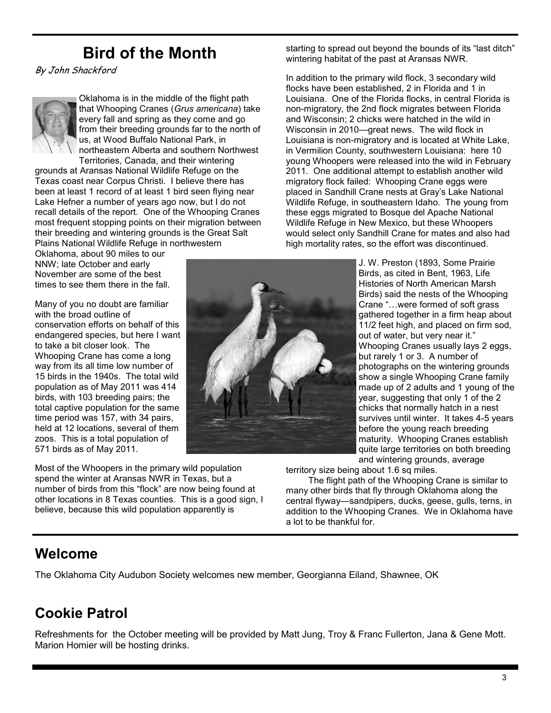# **Bird of the Month**

By John Shackford



Oklahoma is in the middle of the flight path that Whooping Cranes (*Grus americana*) take every fall and spring as they come and go from their breeding grounds far to the north of us, at Wood Buffalo National Park, in northeastern Alberta and southern Northwest Territories, Canada, and their wintering

grounds at Aransas National Wildlife Refuge on the Texas coast near Corpus Christi. I believe there has been at least 1 record of at least 1 bird seen flying near Lake Hefner a number of years ago now, but I do not recall details of the report. One of the Whooping Cranes most frequent stopping points on their migration between their breeding and wintering grounds is the Great Salt Plains National Wildlife Refuge in northwestern

Oklahoma, about 90 miles to our NNW; late October and early November are some of the best times to see them there in the fall

Many of you no doubt are familiar with the broad outline of conservation efforts on behalf of this endangered species, but here I want to take a bit closer look. The Whooping Crane has come a long way from its all time low number of 15 birds in the 1940s. The total wild population as of May 2011 was 414 birds, with 103 breeding pairs; the total captive population for the same time period was 157, with 34 pairs, held at 12 locations, several of them zoos. This is a total population of 571 birds as of May 2011.

Most of the Whoopers in the primary wild population spend the winter at Aransas NWR in Texas, but a number of birds from this "flock" are now being found at other locations in 8 Texas counties. This is a good sign, I believe, because this wild population apparently is

starting to spread out beyond the bounds of its "last ditch" wintering habitat of the past at Aransas NWR.

In addition to the primary wild flock, 3 secondary wild flocks have been established, 2 in Florida and 1 in Louisiana. One of the Florida flocks, in central Florida is non-migratory, the 2nd flock migrates between Florida and Wisconsin; 2 chicks were hatched in the wild in Wisconsin in 2010—great news. The wild flock in Louisiana is non-migratory and is located at White Lake, in Vermilion County, southwestern Louisiana: here 10 young Whoopers were released into the wild in February 2011. One additional attempt to establish another wild migratory flock failed: Whooping Crane eggs were placed in Sandhill Crane nests at Gray's Lake National Wildlife Refuge, in southeastern Idaho. The young from these eggs migrated to Bosque del Apache National Wildlife Refuge in New Mexico, but these Whoopers would select only Sandhill Crane for mates and also had high mortality rates, so the effort was discontinued.

> J. W. Preston (1893, Some Prairie Birds, as cited in Bent, 1963, Life Histories of North American Marsh Birds) said the nests of the Whooping Crane "…were formed of soft grass gathered together in a firm heap about 11/2 feet high, and placed on firm sod, out of water, but very near it." Whooping Cranes usually lays 2 eggs, but rarely 1 or 3. A number of photographs on the wintering grounds show a single Whooping Crane family made up of 2 adults and 1 young of the year, suggesting that only 1 of the 2 chicks that normally hatch in a nest survives until winter. It takes 4-5 years before the young reach breeding maturity. Whooping Cranes establish quite large territories on both breeding and wintering grounds, average

territory size being about 1.6 sq miles.

 The flight path of the Whooping Crane is similar to many other birds that fly through Oklahoma along the central flyway—sandpipers, ducks, geese, gulls, terns, in addition to the Whooping Cranes. We in Oklahoma have a lot to be thankful for.

### **Welcome**

The Oklahoma City Audubon Society welcomes new member, Georgianna Eiland, Shawnee, OK

## **Cookie Patrol**

Refreshments for the October meeting will be provided by Matt Jung, Troy & Franc Fullerton, Jana & Gene Mott. Marion Homier will be hosting drinks.

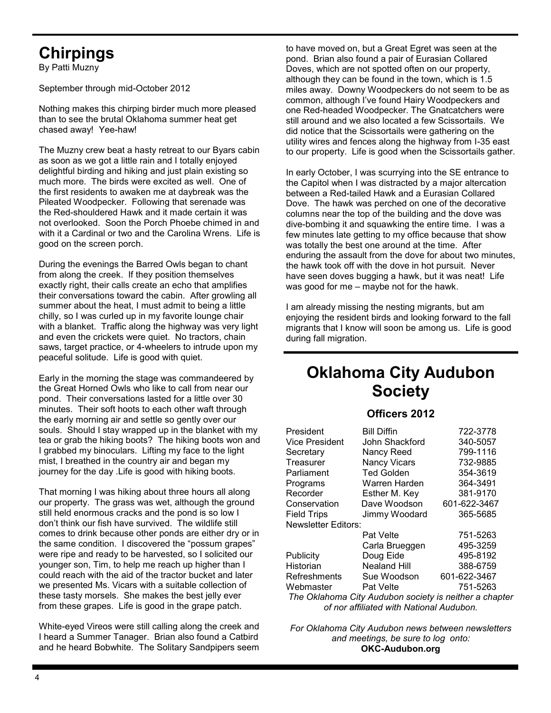# **Chirpings**

By Patti Muzny

September through mid-October 2012

Nothing makes this chirping birder much more pleased than to see the brutal Oklahoma summer heat get chased away! Yee-haw!

The Muzny crew beat a hasty retreat to our Byars cabin as soon as we got a little rain and I totally enjoyed delightful birding and hiking and just plain existing so much more. The birds were excited as well. One of the first residents to awaken me at daybreak was the Pileated Woodpecker. Following that serenade was the Red-shouldered Hawk and it made certain it was not overlooked. Soon the Porch Phoebe chimed in and with it a Cardinal or two and the Carolina Wrens. Life is good on the screen porch.

During the evenings the Barred Owls began to chant from along the creek. If they position themselves exactly right, their calls create an echo that amplifies their conversations toward the cabin. After growling all summer about the heat, I must admit to being a little chilly, so I was curled up in my favorite lounge chair with a blanket. Traffic along the highway was very light and even the crickets were quiet. No tractors, chain saws, target practice, or 4-wheelers to intrude upon my peaceful solitude. Life is good with quiet.

Early in the morning the stage was commandeered by the Great Horned Owls who like to call from near our pond. Their conversations lasted for a little over 30 minutes. Their soft hoots to each other waft through the early morning air and settle so gently over our souls. Should I stay wrapped up in the blanket with my tea or grab the hiking boots? The hiking boots won and I grabbed my binoculars. Lifting my face to the light mist, I breathed in the country air and began my journey for the day .Life is good with hiking boots.

That morning I was hiking about three hours all along our property. The grass was wet, although the ground still held enormous cracks and the pond is so low I don't think our fish have survived. The wildlife still comes to drink because other ponds are either dry or in the same condition. I discovered the "possum grapes" were ripe and ready to be harvested, so I solicited our younger son, Tim, to help me reach up higher than I could reach with the aid of the tractor bucket and later we presented Ms. Vicars with a suitable collection of these tasty morsels. She makes the best jelly ever from these grapes. Life is good in the grape patch.

White-eyed Vireos were still calling along the creek and I heard a Summer Tanager. Brian also found a Catbird and he heard Bobwhite. The Solitary Sandpipers seem to have moved on, but a Great Egret was seen at the pond. Brian also found a pair of Eurasian Collared Doves, which are not spotted often on our property, although they can be found in the town, which is 1.5 miles away. Downy Woodpeckers do not seem to be as common, although I've found Hairy Woodpeckers and one Red-headed Woodpecker. The Gnatcatchers were still around and we also located a few Scissortails. We did notice that the Scissortails were gathering on the utility wires and fences along the highway from I-35 east to our property. Life is good when the Scissortails gather.

In early October, I was scurrying into the SE entrance to the Capitol when I was distracted by a major altercation between a Red-tailed Hawk and a Eurasian Collared Dove. The hawk was perched on one of the decorative columns near the top of the building and the dove was dive-bombing it and squawking the entire time. I was a few minutes late getting to my office because that show was totally the best one around at the time. After enduring the assault from the dove for about two minutes, the hawk took off with the dove in hot pursuit. Never have seen doves bugging a hawk, but it was neat! Life was good for me – maybe not for the hawk.

I am already missing the nesting migrants, but am enjoying the resident birds and looking forward to the fall migrants that I know will soon be among us. Life is good during fall migration.

## **Oklahoma City Audubon Society**

#### **Officers 2012**

| President                                              | <b>Bill Diffin</b>  | 722-3778     |
|--------------------------------------------------------|---------------------|--------------|
| Vice President                                         | John Shackford      | 340-5057     |
| Secretary                                              | Nancy Reed          | 799-1116     |
| Treasurer                                              | <b>Nancy Vicars</b> | 732-9885     |
| Parliament                                             | <b>Ted Golden</b>   | 354-3619     |
| Programs                                               | Warren Harden       | 364-3491     |
| Recorder                                               | Esther M. Key       | 381-9170     |
| Conservation                                           | Dave Woodson        | 601-622-3467 |
| <b>Field Trips</b>                                     | Jimmy Woodard       | 365-5685     |
| Newsletter Editors:                                    |                     |              |
|                                                        | <b>Pat Velte</b>    | 751-5263     |
|                                                        | Carla Brueggen      | 495-3259     |
| Publicity                                              | Doug Eide           | 495-8192     |
| Historian                                              | <b>Nealand Hill</b> | 388-6759     |
| Refreshments                                           | Sue Woodson         | 601-622-3467 |
| Webmaster                                              | <b>Pat Velte</b>    | 751-5263     |
| The Oklahoma City Audubon society is neither a chapter |                     |              |
| of nor affiliated with National Audubon.               |                     |              |

*For Oklahoma City Audubon news between newsletters and meetings, be sure to log onto:* **OKC-Audubon.org**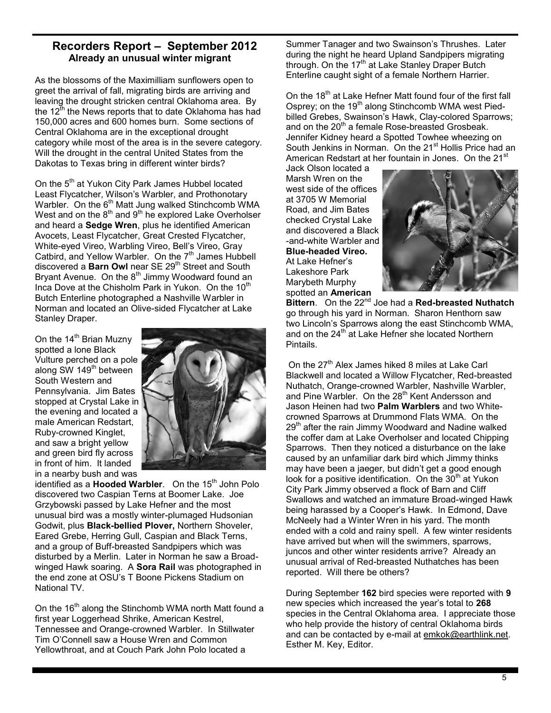#### **Recorders Report – September 2012 Already an unusual winter migrant**

As the blossoms of the Maximilliam sunflowers open to greet the arrival of fall, migrating birds are arriving and leaving the drought stricken central Oklahoma area. By the 12<sup>th</sup> the News reports that to date Oklahoma has had 150,000 acres and 600 homes burn. Some sections of Central Oklahoma are in the exceptional drought category while most of the area is in the severe category. Will the drought in the central United States from the Dakotas to Texas bring in different winter birds?

On the 5<sup>th</sup> at Yukon City Park James Hubbel located Least Flycatcher, Wilson's Warbler, and Prothonotary Warbler. On the 6<sup>th</sup> Matt Jung walked Stinchcomb WMA West and on the  $8<sup>th</sup>$  and  $9<sup>th</sup>$  he explored Lake Overholser and heard a **Sedge Wren**, plus he identified American Avocets, Least Flycatcher, Great Crested Flycatcher, White-eyed Vireo, Warbling Vireo, Bell's Vireo, Gray Catbird, and Yellow Warbler. On the 7<sup>th</sup> James Hubbell discovered a **Barn Owl** near SE 29<sup>th</sup> Street and South Bryant Avenue. On the  $8<sup>th</sup>$  Jimmy Woodward found an Inca Dove at the Chisholm Park in Yukon. On the 10<sup>th</sup> Butch Enterline photographed a Nashville Warbler in Norman and located an Olive-sided Flycatcher at Lake Stanley Draper.

On the  $14<sup>th</sup>$  Brian Muzny spotted a lone Black Vulture perched on a pole along SW 149<sup>th</sup> between South Western and Pennsylvania. Jim Bates stopped at Crystal Lake in the evening and located a male American Redstart, Ruby-crowned Kinglet, and saw a bright yellow and green bird fly across in front of him. It landed in a nearby bush and was



identified as a **Hooded Warbler**. On the 15<sup>th</sup> John Polo discovered two Caspian Terns at Boomer Lake. Joe Grzybowski passed by Lake Hefner and the most unusual bird was a mostly winter-plumaged Hudsonian Godwit, plus **Black-bellied Plover,** Northern Shoveler, Eared Grebe, Herring Gull, Caspian and Black Terns, and a group of Buff-breasted Sandpipers which was disturbed by a Merlin. Later in Norman he saw a Broadwinged Hawk soaring. A **Sora Rail** was photographed in the end zone at OSU's T Boone Pickens Stadium on National TV.

On the 16<sup>th</sup> along the Stinchomb WMA north Matt found a first year Loggerhead Shrike, American Kestrel, Tennessee and Orange-crowned Warbler. In Stillwater Tim O'Connell saw a House Wren and Common Yellowthroat, and at Couch Park John Polo located a

Summer Tanager and two Swainson's Thrushes. Later during the night he heard Upland Sandpipers migrating through. On the 17<sup>th</sup> at Lake Stanley Draper Butch Enterline caught sight of a female Northern Harrier.

On the 18<sup>th</sup> at Lake Hefner Matt found four of the first fall Osprey; on the  $19<sup>th</sup>$  along Stinchcomb WMA west Piedbilled Grebes, Swainson's Hawk, Clay-colored Sparrows; and on the 20<sup>th</sup> a female Rose-breasted Grosbeak. Jennifer Kidney heard a Spotted Towhee wheezing on South Jenkins in Norman. On the 21<sup>st</sup> Hollis Price had an American Redstart at her fountain in Jones. On the 21<sup>st</sup>

Jack Olson located a Marsh Wren on the west side of the offices at 3705 W Memorial Road, and Jim Bates checked Crystal Lake and discovered a Black -and-white Warbler and **Blue-headed Vireo.**  At Lake Hefner's Lakeshore Park Marybeth Murphy spotted an **American** 



**Bittern**. On the 22nd Joe had a **Red-breasted Nuthatch** go through his yard in Norman. Sharon Henthorn saw two Lincoln's Sparrows along the east Stinchcomb WMA, and on the 24<sup>th</sup> at Lake Hefner she located Northern Pintails.

On the 27<sup>th</sup> Alex James hiked 8 miles at Lake Carl Blackwell and located a Willow Flycatcher, Red-breasted Nuthatch, Orange-crowned Warbler, Nashville Warbler, and Pine Warbler. On the 28<sup>th</sup> Kent Andersson and Jason Heinen had two **Palm Warblers** and two Whitecrowned Sparrows at Drummond Flats WMA. On the 29<sup>th</sup> after the rain Jimmy Woodward and Nadine walked the coffer dam at Lake Overholser and located Chipping Sparrows. Then they noticed a disturbance on the lake caused by an unfamiliar dark bird which Jimmy thinks may have been a jaeger, but didn't get a good enough look for a positive identification. On the  $30<sup>th</sup>$  at Yukon City Park Jimmy observed a flock of Barn and Cliff Swallows and watched an immature Broad-winged Hawk being harassed by a Cooper's Hawk. In Edmond, Dave McNeely had a Winter Wren in his yard. The month ended with a cold and rainy spell. A few winter residents have arrived but when will the swimmers, sparrows, juncos and other winter residents arrive? Already an unusual arrival of Red-breasted Nuthatches has been reported. Will there be others?

During September **162** bird species were reported with **9** new species which increased the year's total to **268**  species in the Central Oklahoma area. I appreciate those who help provide the history of central Oklahoma birds and can be contacted by e-mail at emkok@earthlink.net. Esther M. Key, Editor.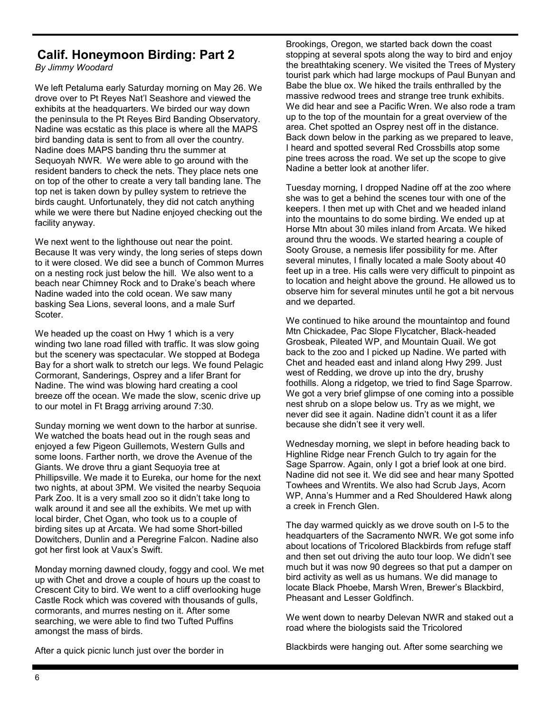### **Calif. Honeymoon Birding: Part 2**

*By Jimmy Woodard*

We left Petaluma early Saturday morning on May 26. We drove over to Pt Reyes Nat'l Seashore and viewed the exhibits at the headquarters. We birded our way down the peninsula to the Pt Reyes Bird Banding Observatory. Nadine was ecstatic as this place is where all the MAPS bird banding data is sent to from all over the country. Nadine does MAPS banding thru the summer at Sequoyah NWR. We were able to go around with the resident banders to check the nets. They place nets one on top of the other to create a very tall banding lane. The top net is taken down by pulley system to retrieve the birds caught. Unfortunately, they did not catch anything while we were there but Nadine enjoyed checking out the facility anyway.

We next went to the lighthouse out near the point. Because It was very windy, the long series of steps down to it were closed. We did see a bunch of Common Murres on a nesting rock just below the hill. We also went to a beach near Chimney Rock and to Drake's beach where Nadine waded into the cold ocean. We saw many basking Sea Lions, several loons, and a male Surf **Scoter** 

We headed up the coast on Hwy 1 which is a very winding two lane road filled with traffic. It was slow going but the scenery was spectacular. We stopped at Bodega Bay for a short walk to stretch our legs. We found Pelagic Cormorant, Sanderings, Osprey and a lifer Brant for Nadine. The wind was blowing hard creating a cool breeze off the ocean. We made the slow, scenic drive up to our motel in Ft Bragg arriving around 7:30.

Sunday morning we went down to the harbor at sunrise. We watched the boats head out in the rough seas and enjoyed a few Pigeon Guillemots, Western Gulls and some loons. Farther north, we drove the Avenue of the Giants. We drove thru a giant Sequoyia tree at Phillipsville. We made it to Eureka, our home for the next two nights, at about 3PM. We visited the nearby Sequoia Park Zoo. It is a very small zoo so it didn't take long to walk around it and see all the exhibits. We met up with local birder, Chet Ogan, who took us to a couple of birding sites up at Arcata. We had some Short-billed Dowitchers, Dunlin and a Peregrine Falcon. Nadine also got her first look at Vaux's Swift.

Monday morning dawned cloudy, foggy and cool. We met up with Chet and drove a couple of hours up the coast to Crescent City to bird. We went to a cliff overlooking huge Castle Rock which was covered with thousands of gulls, cormorants, and murres nesting on it. After some searching, we were able to find two Tufted Puffins amongst the mass of birds.

After a quick picnic lunch just over the border in

Brookings, Oregon, we started back down the coast stopping at several spots along the way to bird and enjoy the breathtaking scenery. We visited the Trees of Mystery tourist park which had large mockups of Paul Bunyan and Babe the blue ox. We hiked the trails enthralled by the massive redwood trees and strange tree trunk exhibits. We did hear and see a Pacific Wren. We also rode a tram up to the top of the mountain for a great overview of the area. Chet spotted an Osprey nest off in the distance. Back down below in the parking as we prepared to leave, I heard and spotted several Red Crossbills atop some pine trees across the road. We set up the scope to give Nadine a better look at another lifer.

Tuesday morning, I dropped Nadine off at the zoo where she was to get a behind the scenes tour with one of the keepers. I then met up with Chet and we headed inland into the mountains to do some birding. We ended up at Horse Mtn about 30 miles inland from Arcata. We hiked around thru the woods. We started hearing a couple of Sooty Grouse, a nemesis lifer possibility for me. After several minutes, I finally located a male Sooty about 40 feet up in a tree. His calls were very difficult to pinpoint as to location and height above the ground. He allowed us to observe him for several minutes until he got a bit nervous and we departed.

We continued to hike around the mountaintop and found Mtn Chickadee, Pac Slope Flycatcher, Black-headed Grosbeak, Pileated WP, and Mountain Quail. We got back to the zoo and I picked up Nadine. We parted with Chet and headed east and inland along Hwy 299. Just west of Redding, we drove up into the dry, brushy foothills. Along a ridgetop, we tried to find Sage Sparrow. We got a very brief glimpse of one coming into a possible nest shrub on a slope below us. Try as we might, we never did see it again. Nadine didn't count it as a lifer because she didn't see it very well.

Wednesday morning, we slept in before heading back to Highline Ridge near French Gulch to try again for the Sage Sparrow. Again, only I got a brief look at one bird. Nadine did not see it. We did see and hear many Spotted Towhees and Wrentits. We also had Scrub Jays, Acorn WP, Anna's Hummer and a Red Shouldered Hawk along a creek in French Glen.

The day warmed quickly as we drove south on I-5 to the headquarters of the Sacramento NWR. We got some info about locations of Tricolored Blackbirds from refuge staff and then set out driving the auto tour loop. We didn't see much but it was now 90 degrees so that put a damper on bird activity as well as us humans. We did manage to locate Black Phoebe, Marsh Wren, Brewer's Blackbird, Pheasant and Lesser Goldfinch.

We went down to nearby Delevan NWR and staked out a road where the biologists said the Tricolored

Blackbirds were hanging out. After some searching we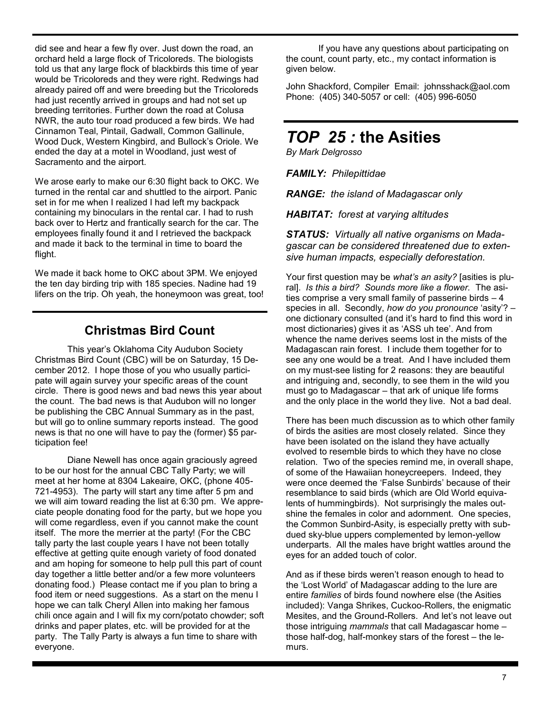did see and hear a few fly over. Just down the road, an orchard held a large flock of Tricoloreds. The biologists told us that any large flock of blackbirds this time of year would be Tricoloreds and they were right. Redwings had already paired off and were breeding but the Tricoloreds had just recently arrived in groups and had not set up breeding territories. Further down the road at Colusa NWR, the auto tour road produced a few birds. We had Cinnamon Teal, Pintail, Gadwall, Common Gallinule, Wood Duck, Western Kingbird, and Bullock's Oriole. We ended the day at a motel in Woodland, just west of Sacramento and the airport.

We arose early to make our 6:30 flight back to OKC. We turned in the rental car and shuttled to the airport. Panic set in for me when I realized I had left my backpack containing my binoculars in the rental car. I had to rush back over to Hertz and frantically search for the car. The employees finally found it and I retrieved the backpack and made it back to the terminal in time to board the flight.

We made it back home to OKC about 3PM. We enjoyed the ten day birding trip with 185 species. Nadine had 19 lifers on the trip. Oh yeah, the honeymoon was great, too!

#### **Christmas Bird Count**

This year's Oklahoma City Audubon Society Christmas Bird Count (CBC) will be on Saturday, 15 December 2012. I hope those of you who usually participate will again survey your specific areas of the count circle. There is good news and bad news this year about the count. The bad news is that Audubon will no longer be publishing the CBC Annual Summary as in the past, but will go to online summary reports instead. The good news is that no one will have to pay the (former) \$5 participation fee!

Diane Newell has once again graciously agreed to be our host for the annual CBC Tally Party; we will meet at her home at 8304 Lakeaire, OKC, (phone 405- 721-4953). The party will start any time after 5 pm and we will aim toward reading the list at 6:30 pm. We appreciate people donating food for the party, but we hope you will come regardless, even if you cannot make the count itself. The more the merrier at the party! (For the CBC tally party the last couple years I have not been totally effective at getting quite enough variety of food donated and am hoping for someone to help pull this part of count day together a little better and/or a few more volunteers donating food.) Please contact me if you plan to bring a food item or need suggestions. As a start on the menu I hope we can talk Cheryl Allen into making her famous chili once again and I will fix my corn/potato chowder; soft drinks and paper plates, etc. will be provided for at the party. The Tally Party is always a fun time to share with everyone.

If you have any questions about participating on the count, count party, etc., my contact information is given below.

John Shackford, Compiler Email: johnsshack@aol.com Phone: (405) 340-5057 or cell: (405) 996-6050

## *TOP 25 :* **the Asities**

*By Mark Delgrosso*

*FAMILY: Philepittidae*

*RANGE: the island of Madagascar only*

*HABITAT: forest at varying altitudes*

*STATUS: Virtually all native organisms on Madagascar can be considered threatened due to extensive human impacts, especially deforestation.* 

Your first question may be *what's an asity?* [asities is plural]. *Is this a bird? Sounds more like a flower.* The asities comprise a very small family of passerine birds – 4 species in all. Secondly, *how do you pronounce* 'asity'? – one dictionary consulted (and it's hard to find this word in most dictionaries) gives it as 'ASS uh tee'. And from whence the name derives seems lost in the mists of the Madagascan rain forest. I include them together for to see any one would be a treat. And I have included them on my must-see listing for 2 reasons: they are beautiful and intriguing and, secondly, to see them in the wild you must go to Madagascar – that ark of unique life forms and the only place in the world they live. Not a bad deal.

There has been much discussion as to which other family of birds the asities are most closely related. Since they have been isolated on the island they have actually evolved to resemble birds to which they have no close relation. Two of the species remind me, in overall shape, of some of the Hawaiian honeycreepers. Indeed, they were once deemed the 'False Sunbirds' because of their resemblance to said birds (which are Old World equivalents of hummingbirds). Not surprisingly the males outshine the females in color and adornment. One species, the Common Sunbird-Asity, is especially pretty with subdued sky-blue uppers complemented by lemon-yellow underparts. All the males have bright wattles around the eyes for an added touch of color.

And as if these birds weren't reason enough to head to the 'Lost World' of Madagascar adding to the lure are entire *families* of birds found nowhere else (the Asities included): Vanga Shrikes, Cuckoo-Rollers, the enigmatic Mesites, and the Ground-Rollers. And let's not leave out those intriguing *mammals* that call Madagascar home – those half-dog, half-monkey stars of the forest – the lemurs.